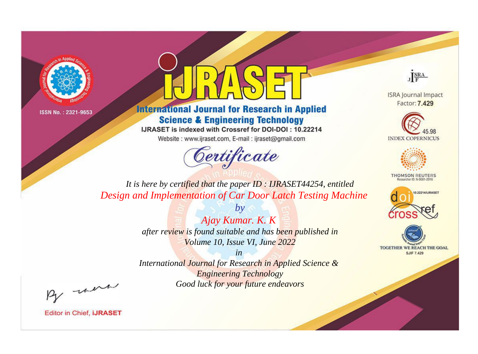



**International Journal for Research in Applied Science & Engineering Technology** 

IJRASET is indexed with Crossref for DOI-DOI: 10.22214

Website: www.ijraset.com, E-mail: ijraset@gmail.com



JERA

**ISRA Journal Impact** Factor: 7.429





**THOMSON REUTERS** 



TOGETHER WE REACH THE GOAL **SJIF 7.429** 

It is here by certified that the paper ID: IJRASET44254, entitled Design and Implementation of Car Door Latch Testing Machine

> Ajay Kumar. K. K after review is found suitable and has been published in Volume 10, Issue VI, June 2022

 $b\nu$ 

 $in$ International Journal for Research in Applied Science & **Engineering Technology** Good luck for your future endeavors

By morn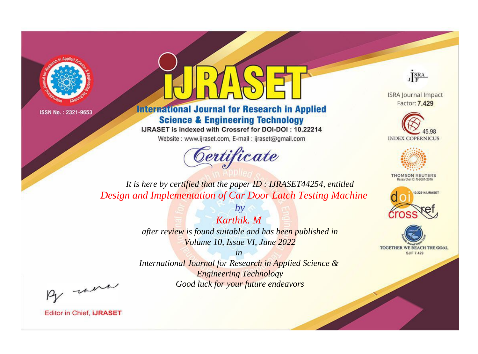



**International Journal for Research in Applied Science & Engineering Technology** 

IJRASET is indexed with Crossref for DOI-DOI: 10.22214

Website: www.ijraset.com, E-mail: ijraset@gmail.com



JERA

**ISRA Journal Impact** Factor: 7.429





**THOMSON REUTERS** 



TOGETHER WE REACH THE GOAL **SJIF 7.429** 

*It is here by certified that the paper ID : IJRASET44254, entitled Design and Implementation of Car Door Latch Testing Machine*

> *Karthik. M after review is found suitable and has been published in Volume 10, Issue VI, June 2022*

*by*

*in* 

*International Journal for Research in Applied Science & Engineering Technology Good luck for your future endeavors*

By morn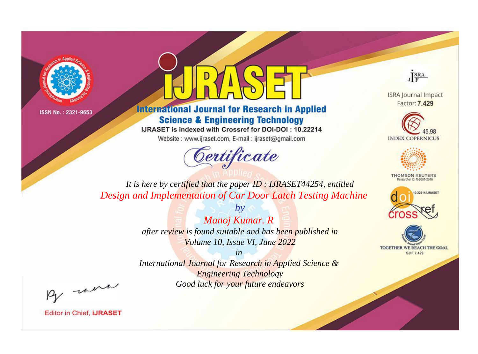



**International Journal for Research in Applied Science & Engineering Technology** 

IJRASET is indexed with Crossref for DOI-DOI: 10.22214

Website: www.ijraset.com, E-mail: ijraset@gmail.com



JERA

**ISRA Journal Impact** Factor: 7.429





**THOMSON REUTERS** 



TOGETHER WE REACH THE GOAL **SJIF 7.429** 

*It is here by certified that the paper ID : IJRASET44254, entitled Design and Implementation of Car Door Latch Testing Machine*

> *Manoj Kumar. R after review is found suitable and has been published in Volume 10, Issue VI, June 2022*

*by*

*in* 

*International Journal for Research in Applied Science & Engineering Technology Good luck for your future endeavors*

By morn